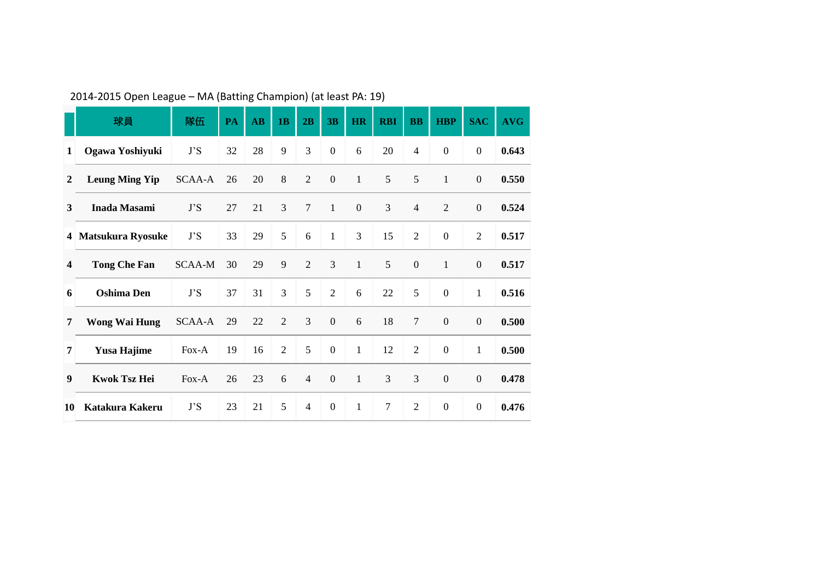|                | 球員                    | 隊伍            | PA | $\overline{AB}$ | 1 <sub>B</sub> | 2B             | 3B               | HR               | <b>RBI</b> | <b>BB</b>        | <b>HBP</b>       | <b>SAC</b>       | <b>AVG</b> |
|----------------|-----------------------|---------------|----|-----------------|----------------|----------------|------------------|------------------|------------|------------------|------------------|------------------|------------|
| 1              | Ogawa Yoshiyuki       | J'S           | 32 | 28              | 9              | 3              | $\boldsymbol{0}$ | 6                | 20         | $\overline{4}$   | $\mathbf{0}$     | $\boldsymbol{0}$ | 0.643      |
| $\overline{2}$ | <b>Leung Ming Yip</b> | SCAA-A        | 26 | 20              | $8\,$          | $\overline{2}$ | $\boldsymbol{0}$ | $\mathbf{1}$     | $\sqrt{5}$ | 5                | $\mathbf{1}$     | $\boldsymbol{0}$ | 0.550      |
| 3              | Inada Masami          | J'S           | 27 | 21              | 3              | $\tau$         | $\mathbf{1}$     | $\boldsymbol{0}$ | 3          | $\overline{4}$   | $\overline{2}$   | $\boldsymbol{0}$ | 0.524      |
|                | 4 Matsukura Ryosuke   | J'S           | 33 | 29              | 5              | 6              | $\mathbf{1}$     | 3                | 15         | $\overline{2}$   | $\overline{0}$   | $\overline{2}$   | 0.517      |
| 4              | <b>Tong Che Fan</b>   | <b>SCAA-M</b> | 30 | 29              | 9              | $\overline{2}$ | 3                | $\mathbf{1}$     | 5          | $\boldsymbol{0}$ | $\mathbf{1}$     | $\boldsymbol{0}$ | 0.517      |
| 6              | <b>Oshima</b> Den     | J'S           | 37 | 31              | 3              | 5              | $\overline{2}$   | 6                | 22         | 5                | $\overline{0}$   | $\mathbf{1}$     | 0.516      |
| 7              | <b>Wong Wai Hung</b>  | SCAA-A        | 29 | 22              | $\overline{2}$ | 3              | $\boldsymbol{0}$ | 6                | 18         | 7                | $\boldsymbol{0}$ | $\boldsymbol{0}$ | 0.500      |
| 7              | <b>Yusa Hajime</b>    | $Fox-A$       | 19 | 16              | $\overline{2}$ | 5              | $\mathbf{0}$     | $\mathbf{1}$     | 12         | $\overline{2}$   | $\mathbf{0}$     | $\mathbf{1}$     | 0.500      |
| 9              | <b>Kwok Tsz Hei</b>   | Fox-A         | 26 | 23              | 6              | $\overline{4}$ | $\boldsymbol{0}$ | $\mathbf{1}$     | 3          | 3                | $\boldsymbol{0}$ | $\boldsymbol{0}$ | 0.478      |
| 10             | Katakura Kakeru       | J'S           | 23 | 21              | 5              | $\overline{4}$ | $\boldsymbol{0}$ | $\mathbf{1}$     | $\tau$     | $\overline{2}$   | $\mathbf{0}$     | $\boldsymbol{0}$ | 0.476      |

2014-2015 Open League – MA (Batting Champion) (at least PA: 19)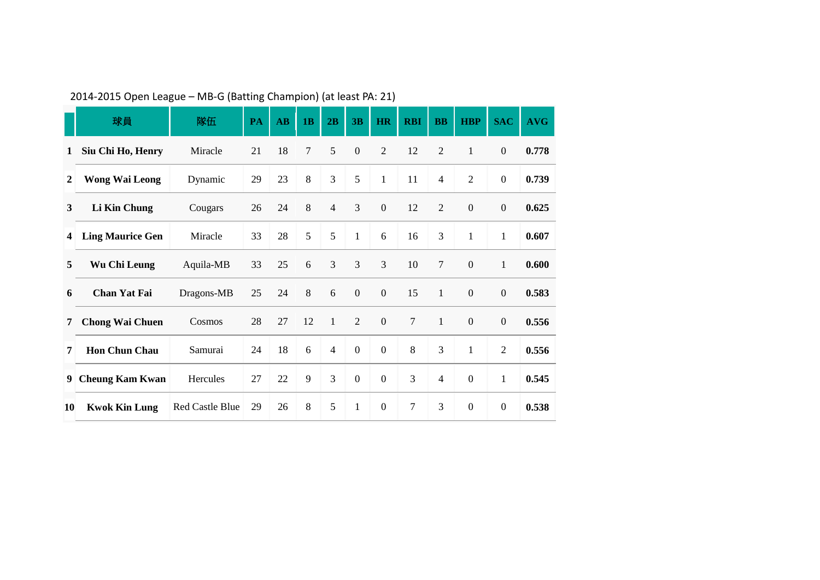|                | 球員                      | 隊伍              | <b>PA</b> | $\mathbf{A}\mathbf{B}$ | 1B             | 2B             | 3B               | <b>HR</b>        | <b>RBI</b>     | <b>BB</b>      | <b>HBP</b>       | <b>SAC</b>       | <b>AVG</b> |
|----------------|-------------------------|-----------------|-----------|------------------------|----------------|----------------|------------------|------------------|----------------|----------------|------------------|------------------|------------|
| 1              | Siu Chi Ho, Henry       | Miracle         | 21        | 18                     | $\overline{7}$ | 5              | $\boldsymbol{0}$ | $\overline{2}$   | 12             | $\overline{2}$ | $\mathbf{1}$     | $\boldsymbol{0}$ | 0.778      |
| $\overline{2}$ | <b>Wong Wai Leong</b>   | Dynamic         | 29        | 23                     | 8              | 3              | 5                | $\mathbf{1}$     | 11             | $\overline{4}$ | $\overline{2}$   | $\boldsymbol{0}$ | 0.739      |
| 3              | <b>Li Kin Chung</b>     | Cougars         | 26        | 24                     | 8              | $\overline{4}$ | 3                | $\boldsymbol{0}$ | 12             | $\overline{2}$ | $\boldsymbol{0}$ | $\boldsymbol{0}$ | 0.625      |
| $\overline{4}$ | <b>Ling Maurice Gen</b> | Miracle         | 33        | 28                     | 5              | 5              | $\mathbf{1}$     | 6                | 16             | 3              | $\mathbf{1}$     | $\mathbf{1}$     | 0.607      |
| 5              | Wu Chi Leung            | Aquila-MB       | 33        | 25                     | 6              | 3              | $\mathfrak{Z}$   | $\overline{3}$   | 10             | $\overline{7}$ | $\boldsymbol{0}$ | $\mathbf{1}$     | 0.600      |
| 6              | Chan Yat Fai            | Dragons-MB      | 25        | 24                     | 8              | 6              | $\mathbf{0}$     | $\boldsymbol{0}$ | 15             | $\mathbf{1}$   | $\boldsymbol{0}$ | $\mathbf{0}$     | 0.583      |
| 7              | <b>Chong Wai Chuen</b>  | Cosmos          | 28        | 27                     | 12             | $\mathbf{1}$   | 2                | $\boldsymbol{0}$ | $\overline{7}$ | $\mathbf{1}$   | $\mathbf{0}$     | $\boldsymbol{0}$ | 0.556      |
| 7              | <b>Hon Chun Chau</b>    | Samurai         | 24        | 18                     | 6              | $\overline{4}$ | $\mathbf{0}$     | $\boldsymbol{0}$ | $8\,$          | 3              | $\mathbf{1}$     | $\overline{2}$   | 0.556      |
| 9              | <b>Cheung Kam Kwan</b>  | Hercules        | 27        | 22                     | 9              | 3              | $\mathbf{0}$     | $\boldsymbol{0}$ | 3              | $\overline{4}$ | $\boldsymbol{0}$ | $\mathbf{1}$     | 0.545      |
| 10             | <b>Kwok Kin Lung</b>    | Red Castle Blue | 29        | 26                     | 8              | 5              | $\mathbf{1}$     | $\boldsymbol{0}$ | 7              | 3              | $\boldsymbol{0}$ | $\boldsymbol{0}$ | 0.538      |

2014-2015 Open League – MB-G (Batting Champion) (at least PA: 21)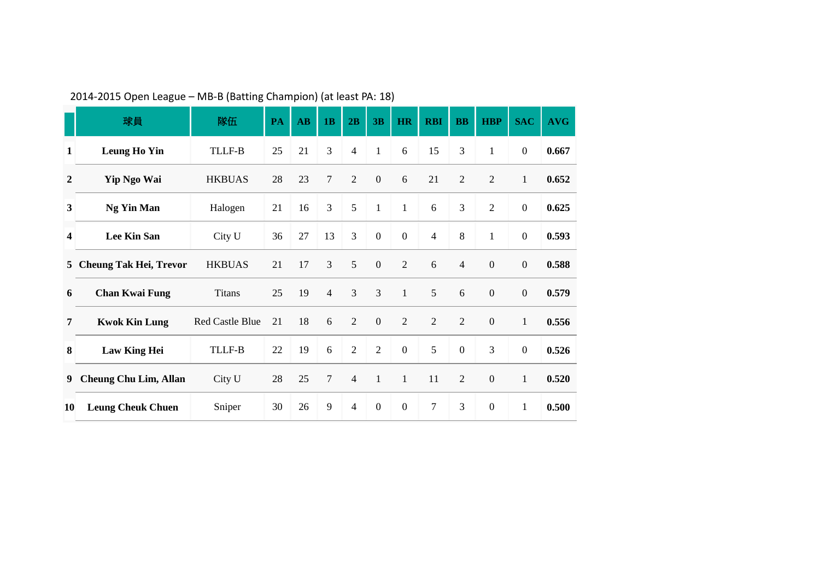|                  | 球員                            | 隊伍                     | PA | $\mathbf{A}\mathbf{B}$ | 1B             | 2B             | 3B               | <b>HR</b>        | <b>RBI</b>     | <b>BB</b>        | <b>HBP</b>       | <b>SAC</b>       | <b>AVG</b> |
|------------------|-------------------------------|------------------------|----|------------------------|----------------|----------------|------------------|------------------|----------------|------------------|------------------|------------------|------------|
| 1                | <b>Leung Ho Yin</b>           | TLLF-B                 | 25 | 21                     | 3              | $\overline{4}$ | $\mathbf{1}$     | 6                | 15             | 3                | $\mathbf{1}$     | $\boldsymbol{0}$ | 0.667      |
| $\boldsymbol{2}$ | Yip Ngo Wai                   | <b>HKBUAS</b>          | 28 | 23                     | 7              | $\overline{2}$ | $\boldsymbol{0}$ | 6                | 21             | $\overline{2}$   | $\overline{2}$   | $\mathbf{1}$     | 0.652      |
| $\mathbf{3}$     | Ng Yin Man                    | Halogen                | 21 | 16                     | 3              | 5              | $\mathbf{1}$     | $\mathbf{1}$     | 6              | 3                | $\overline{2}$   | $\boldsymbol{0}$ | 0.625      |
| 4                | Lee Kin San                   | City U                 | 36 | 27                     | 13             | 3              | $\boldsymbol{0}$ | $\boldsymbol{0}$ | $\overline{4}$ | 8                | $\mathbf{1}$     | $\boldsymbol{0}$ | 0.593      |
| 5                | <b>Cheung Tak Hei, Trevor</b> | <b>HKBUAS</b>          | 21 | 17                     | $\overline{3}$ | 5              | $\boldsymbol{0}$ | $\overline{2}$   | 6              | $\overline{4}$   | $\mathbf{0}$     | $\boldsymbol{0}$ | 0.588      |
| 6                | <b>Chan Kwai Fung</b>         | <b>Titans</b>          | 25 | 19                     | $\overline{4}$ | 3              | 3                | $\mathbf{1}$     | 5              | 6                | $\boldsymbol{0}$ | $\boldsymbol{0}$ | 0.579      |
| 7                | <b>Kwok Kin Lung</b>          | <b>Red Castle Blue</b> | 21 | 18                     | 6              | $\overline{2}$ | $\boldsymbol{0}$ | $\overline{2}$   | $\overline{2}$ | $\overline{2}$   | $\mathbf{0}$     | $\mathbf{1}$     | 0.556      |
| 8                | <b>Law King Hei</b>           | <b>TLLF-B</b>          | 22 | 19                     | 6              | $\overline{2}$ | $\overline{2}$   | $\boldsymbol{0}$ | 5              | $\boldsymbol{0}$ | 3                | $\boldsymbol{0}$ | 0.526      |
| 9                | <b>Cheung Chu Lim, Allan</b>  | City U                 | 28 | 25                     | 7              | 4              | $\mathbf{1}$     | $\mathbf{1}$     | 11             | $\overline{2}$   | $\boldsymbol{0}$ | $\mathbf{1}$     | 0.520      |
| 10               | <b>Leung Cheuk Chuen</b>      | Sniper                 | 30 | 26                     | 9              | $\overline{4}$ | $\boldsymbol{0}$ | $\boldsymbol{0}$ | 7              | 3                | $\boldsymbol{0}$ | $\mathbf{1}$     | 0.500      |

2014-2015 Open League – MB-B (Batting Champion) (at least PA: 18)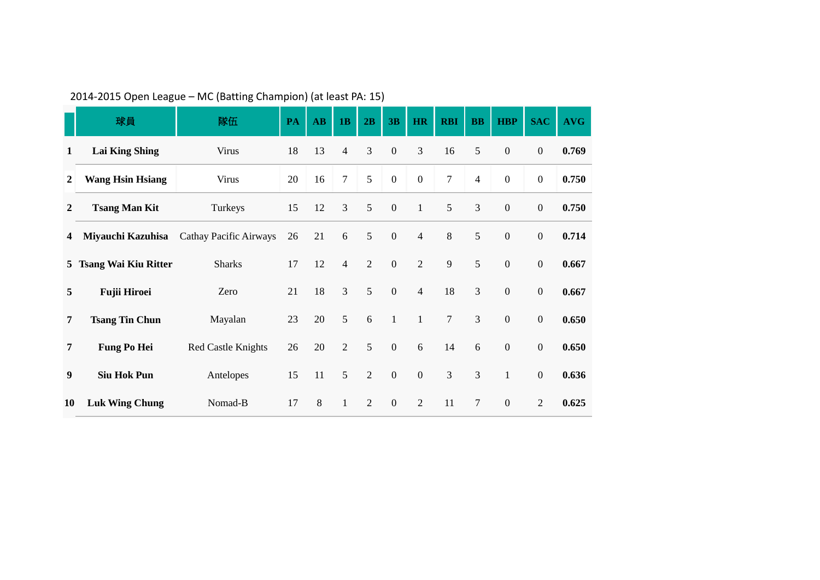|                | 球員                      | 隊伍                            | PA | $\mathbf{A}\mathbf{B}$ | 1B             | 2B             | 3B               | HR               | <b>RBI</b>     | $\mathbf{B}$   | <b>HBP</b>       | <b>SAC</b>       | <b>AVG</b> |
|----------------|-------------------------|-------------------------------|----|------------------------|----------------|----------------|------------------|------------------|----------------|----------------|------------------|------------------|------------|
| 1              | <b>Lai King Shing</b>   | <b>Virus</b>                  | 18 | 13                     | $\overline{4}$ | 3              | $\boldsymbol{0}$ | $\mathfrak{Z}$   | 16             | 5              | $\boldsymbol{0}$ | $\boldsymbol{0}$ | 0.769      |
| $\mathbf{2}$   | <b>Wang Hsin Hsiang</b> | Virus                         | 20 | 16                     | $\tau$         | 5              | $\boldsymbol{0}$ | $\boldsymbol{0}$ | $\tau$         | $\overline{4}$ | $\boldsymbol{0}$ | $\boldsymbol{0}$ | 0.750      |
| $\mathbf{2}$   | <b>Tsang Man Kit</b>    | Turkeys                       | 15 | 12                     | 3              | 5              | $\boldsymbol{0}$ | $\mathbf{1}$     | 5              | 3              | $\boldsymbol{0}$ | $\boldsymbol{0}$ | 0.750      |
| 4              | Miyauchi Kazuhisa       | <b>Cathay Pacific Airways</b> | 26 | 21                     | $\sqrt{6}$     | 5              | $\boldsymbol{0}$ | $\overline{4}$   | 8              | 5              | $\boldsymbol{0}$ | $\boldsymbol{0}$ | 0.714      |
|                | 5 Tsang Wai Kiu Ritter  | <b>Sharks</b>                 | 17 | 12                     | $\overline{4}$ | $\overline{2}$ | $\boldsymbol{0}$ | $\overline{2}$   | 9              | 5              | $\boldsymbol{0}$ | $\boldsymbol{0}$ | 0.667      |
| 5              | <b>Fujii Hiroei</b>     | Zero                          | 21 | 18                     | 3              | 5              | $\mathbf{0}$     | $\overline{4}$   | 18             | 3              | $\boldsymbol{0}$ | $\boldsymbol{0}$ | 0.667      |
| 7              | <b>Tsang Tin Chun</b>   | Mayalan                       | 23 | 20                     | 5              | 6              | $\mathbf{1}$     | $\mathbf{1}$     | $\overline{7}$ | $\overline{3}$ | $\boldsymbol{0}$ | $\boldsymbol{0}$ | 0.650      |
| $\overline{7}$ | <b>Fung Po Hei</b>      | Red Castle Knights            | 26 | 20                     | $\overline{2}$ | 5              | $\boldsymbol{0}$ | 6                | 14             | 6              | $\boldsymbol{0}$ | $\boldsymbol{0}$ | 0.650      |
| 9              | <b>Siu Hok Pun</b>      | Antelopes                     | 15 | 11                     | 5              | $\overline{2}$ | $\boldsymbol{0}$ | $\boldsymbol{0}$ | 3              | 3              | $\mathbf{1}$     | $\boldsymbol{0}$ | 0.636      |
| 10             | <b>Luk Wing Chung</b>   | Nomad-B                       | 17 | $8\,$                  | $\mathbf{1}$   | $\overline{2}$ | $\boldsymbol{0}$ | $\overline{2}$   | 11             | $\tau$         | $\boldsymbol{0}$ | $\overline{2}$   | 0.625      |

## 2014-2015 Open League – MC (Batting Champion) (at least PA: 15)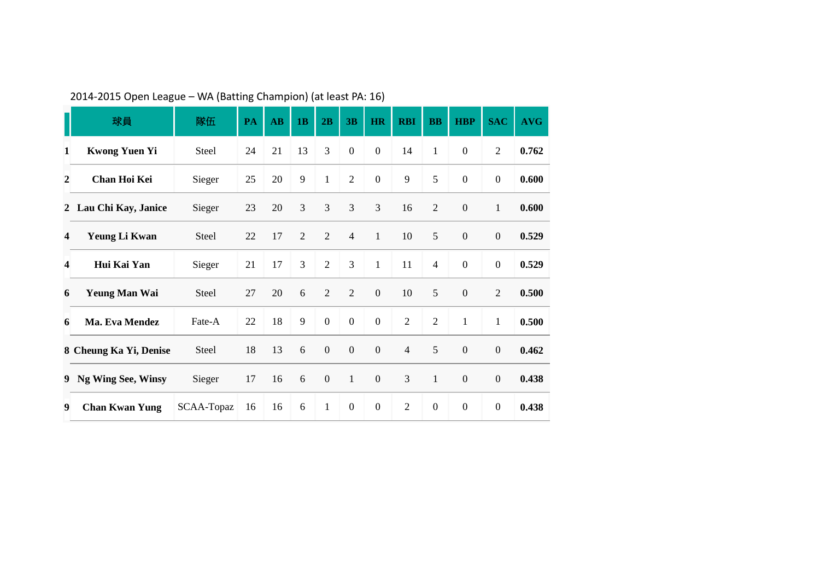|                | 球員                     | 隊伍         | PA | AB | 1B             | 2B               | 3B               | <b>HR</b>        | <b>RBI</b>     | <b>BB</b>        | <b>HBP</b>       | <b>SAC</b>       | <b>AVG</b> |
|----------------|------------------------|------------|----|----|----------------|------------------|------------------|------------------|----------------|------------------|------------------|------------------|------------|
| 1              | <b>Kwong Yuen Yi</b>   | Steel      | 24 | 21 | 13             | 3                | $\boldsymbol{0}$ | $\boldsymbol{0}$ | 14             | 1                | $\mathbf{0}$     | $\mathfrak{2}$   | 0.762      |
| $\overline{2}$ | Chan Hoi Kei           | Sieger     | 25 | 20 | 9              | $\mathbf{1}$     | $\sqrt{2}$       | $\boldsymbol{0}$ | 9              | 5                | $\boldsymbol{0}$ | $\boldsymbol{0}$ | 0.600      |
|                | 2 Lau Chi Kay, Janice  | Sieger     | 23 | 20 | 3              | 3                | 3                | 3                | 16             | $\overline{2}$   | $\boldsymbol{0}$ | $\mathbf{1}$     | 0.600      |
| 4              | Yeung Li Kwan          | Steel      | 22 | 17 | $\overline{2}$ | $\overline{2}$   | $\overline{4}$   | $\mathbf{1}$     | 10             | 5                | $\boldsymbol{0}$ | $\boldsymbol{0}$ | 0.529      |
| 4              | Hui Kai Yan            | Sieger     | 21 | 17 | 3              | $\overline{2}$   | 3                | $\mathbf{1}$     | 11             | $\overline{4}$   | $\mathbf{0}$     | $\boldsymbol{0}$ | 0.529      |
| 6              | <b>Yeung Man Wai</b>   | Steel      | 27 | 20 | 6              | $\overline{2}$   | $\overline{2}$   | $\mathbf{0}$     | 10             | 5                | $\boldsymbol{0}$ | $\mathfrak{2}$   | 0.500      |
| 6              | Ma. Eva Mendez         | Fate-A     | 22 | 18 | 9              | $\boldsymbol{0}$ | $\boldsymbol{0}$ | $\boldsymbol{0}$ | $\overline{2}$ | $\overline{2}$   | $\mathbf{1}$     | $\mathbf{1}$     | 0.500      |
|                | 8 Cheung Ka Yi, Denise | Steel      | 18 | 13 | 6              | $\boldsymbol{0}$ | $\boldsymbol{0}$ | $\boldsymbol{0}$ | $\overline{4}$ | 5                | $\boldsymbol{0}$ | $\mathbf{0}$     | 0.462      |
| 9              | Ng Wing See, Winsy     | Sieger     | 17 | 16 | 6              | $\boldsymbol{0}$ | $\mathbf{1}$     | $\mathbf{0}$     | 3              | $\mathbf{1}$     | $\mathbf{0}$     | $\boldsymbol{0}$ | 0.438      |
| 9              | <b>Chan Kwan Yung</b>  | SCAA-Topaz | 16 | 16 | 6              | $\mathbf{1}$     | $\boldsymbol{0}$ | $\boldsymbol{0}$ | $\mathbf{2}$   | $\boldsymbol{0}$ | $\boldsymbol{0}$ | $\boldsymbol{0}$ | 0.438      |

2014-2015 Open League – WA (Batting Champion) (at least PA: 16)